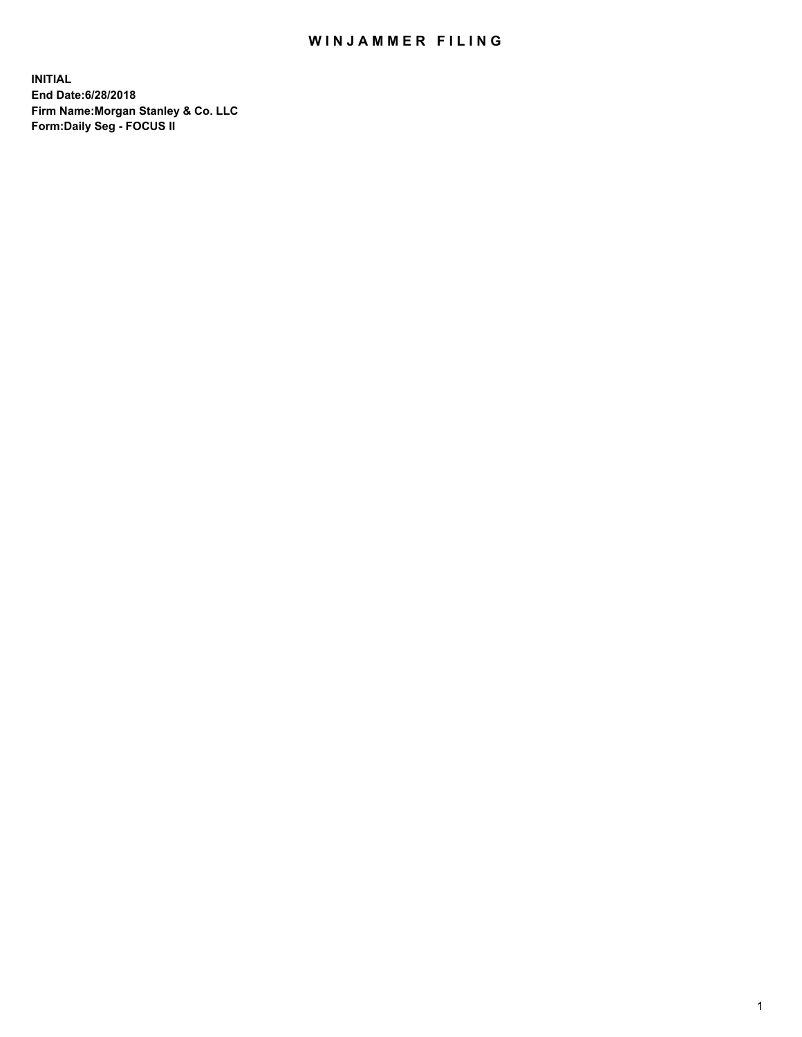## WIN JAMMER FILING

**INITIAL End Date:6/28/2018 Firm Name:Morgan Stanley & Co. LLC Form:Daily Seg - FOCUS II**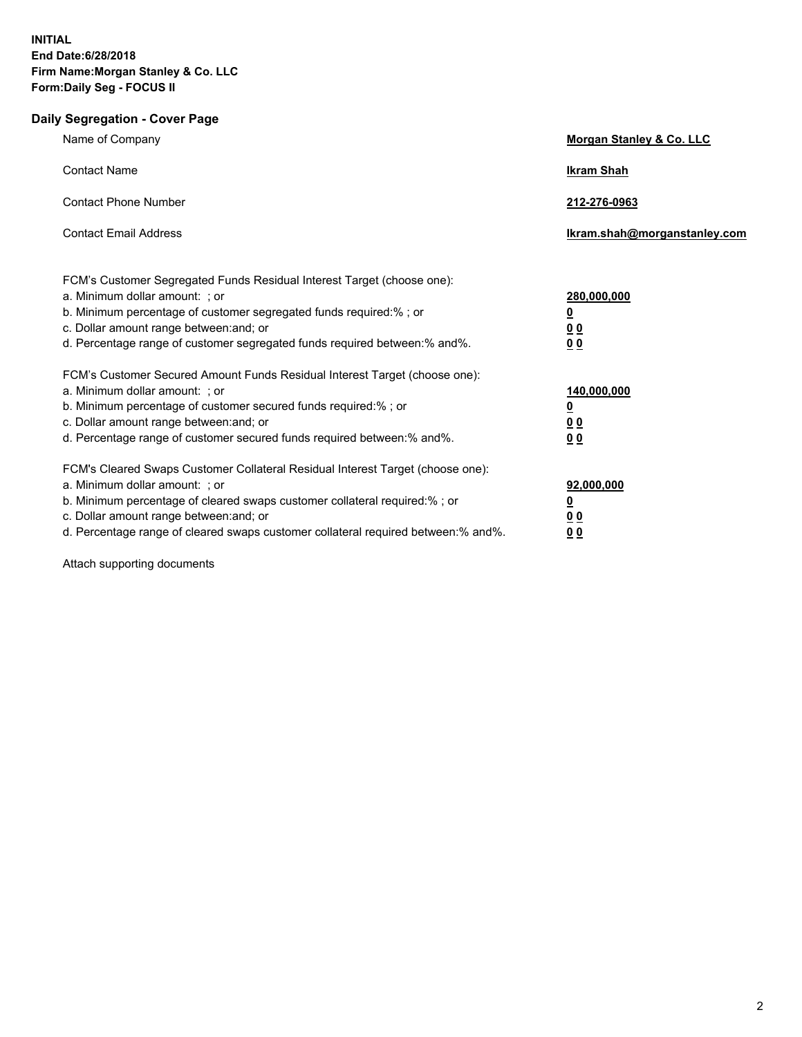## **Daily Segregation - Cover Page**

| Name of Company                                                                                                                                                                                                                                                                                                                | Morgan Stanley & Co. LLC                                   |
|--------------------------------------------------------------------------------------------------------------------------------------------------------------------------------------------------------------------------------------------------------------------------------------------------------------------------------|------------------------------------------------------------|
| <b>Contact Name</b>                                                                                                                                                                                                                                                                                                            | <b>Ikram Shah</b>                                          |
| <b>Contact Phone Number</b>                                                                                                                                                                                                                                                                                                    | 212-276-0963                                               |
| <b>Contact Email Address</b>                                                                                                                                                                                                                                                                                                   | Ikram.shah@morganstanley.com                               |
| FCM's Customer Segregated Funds Residual Interest Target (choose one):<br>a. Minimum dollar amount: ; or<br>b. Minimum percentage of customer segregated funds required:% ; or<br>c. Dollar amount range between: and; or<br>d. Percentage range of customer segregated funds required between:% and%.                         | 280,000,000<br>$\overline{\mathbf{0}}$<br><u>00</u><br>00  |
| FCM's Customer Secured Amount Funds Residual Interest Target (choose one):<br>a. Minimum dollar amount: ; or<br>b. Minimum percentage of customer secured funds required:%; or<br>c. Dollar amount range between: and; or<br>d. Percentage range of customer secured funds required between:% and%.                            | 140,000,000<br>$\overline{\mathbf{0}}$<br><u>00</u><br>00  |
| FCM's Cleared Swaps Customer Collateral Residual Interest Target (choose one):<br>a. Minimum dollar amount: ; or<br>b. Minimum percentage of cleared swaps customer collateral required:% ; or<br>c. Dollar amount range between: and; or<br>d. Percentage range of cleared swaps customer collateral required between:% and%. | 92,000,000<br><u>0</u><br>0 <sub>0</sub><br>0 <sub>0</sub> |

Attach supporting documents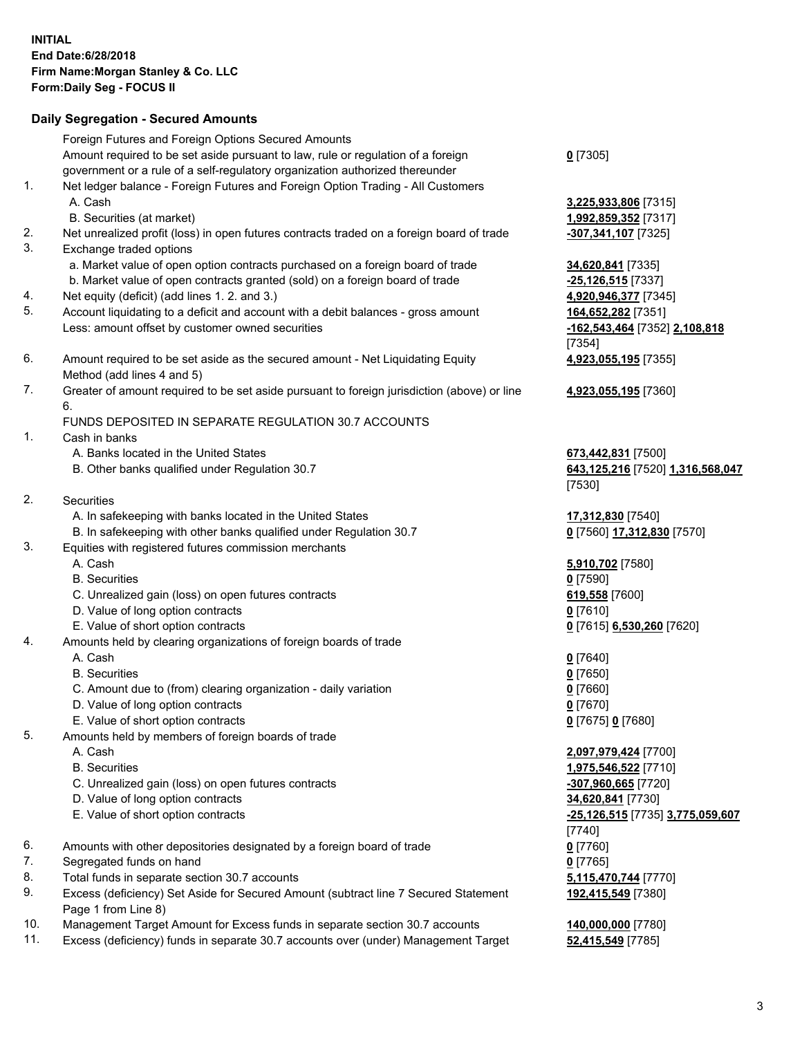## **Daily Segregation - Secured Amounts**

|     | Foreign Futures and Foreign Options Secured Amounts                                         |                                         |
|-----|---------------------------------------------------------------------------------------------|-----------------------------------------|
|     | Amount required to be set aside pursuant to law, rule or regulation of a foreign            | $0$ [7305]                              |
|     | government or a rule of a self-regulatory organization authorized thereunder                |                                         |
| 1.  | Net ledger balance - Foreign Futures and Foreign Option Trading - All Customers             |                                         |
|     | A. Cash                                                                                     | 3,225,933,806 [7315]                    |
|     | B. Securities (at market)                                                                   | 1,992,859,352 [7317]                    |
| 2.  | Net unrealized profit (loss) in open futures contracts traded on a foreign board of trade   | -307,341,107 [7325]                     |
| 3.  | Exchange traded options                                                                     |                                         |
|     | a. Market value of open option contracts purchased on a foreign board of trade              | 34,620,841 [7335]                       |
|     | b. Market value of open contracts granted (sold) on a foreign board of trade                | -25,126,515 [7337]                      |
| 4.  | Net equity (deficit) (add lines 1.2. and 3.)                                                | 4,920,946,377 [7345]                    |
| 5.  | Account liquidating to a deficit and account with a debit balances - gross amount           | 164,652,282 [7351]                      |
|     | Less: amount offset by customer owned securities                                            | -162,543,464 [7352] 2,108,818           |
|     |                                                                                             | [7354]                                  |
| 6.  | Amount required to be set aside as the secured amount - Net Liquidating Equity              | 4,923,055,195 [7355]                    |
|     | Method (add lines 4 and 5)                                                                  |                                         |
| 7.  | Greater of amount required to be set aside pursuant to foreign jurisdiction (above) or line | 4,923,055,195 [7360]                    |
|     | 6.                                                                                          |                                         |
|     | FUNDS DEPOSITED IN SEPARATE REGULATION 30.7 ACCOUNTS                                        |                                         |
| 1.  | Cash in banks                                                                               |                                         |
|     | A. Banks located in the United States                                                       | 673,442,831 [7500]                      |
|     | B. Other banks qualified under Regulation 30.7                                              | 643,125,216 [7520] 1,316,568,047        |
|     |                                                                                             | [7530]                                  |
| 2.  | Securities                                                                                  |                                         |
|     | A. In safekeeping with banks located in the United States                                   | 17,312,830 [7540]                       |
|     | B. In safekeeping with other banks qualified under Regulation 30.7                          | 0 [7560] 17,312,830 [7570]              |
| 3.  | Equities with registered futures commission merchants                                       |                                         |
|     | A. Cash                                                                                     | 5,910,702 [7580]                        |
|     | <b>B.</b> Securities                                                                        | $0$ [7590]                              |
|     | C. Unrealized gain (loss) on open futures contracts                                         | 619,558 [7600]                          |
|     | D. Value of long option contracts                                                           | $0$ [7610]                              |
|     | E. Value of short option contracts                                                          | 0 [7615] 6,530,260 [7620]               |
| 4.  | Amounts held by clearing organizations of foreign boards of trade                           |                                         |
|     | A. Cash                                                                                     | $0$ [7640]                              |
|     | <b>B.</b> Securities                                                                        | $0$ [7650]                              |
|     | C. Amount due to (from) clearing organization - daily variation                             | $0$ [7660]                              |
|     | D. Value of long option contracts                                                           | $0$ [7670]                              |
|     | E. Value of short option contracts                                                          | 0 [7675] 0 [7680]                       |
| 5.  | Amounts held by members of foreign boards of trade                                          |                                         |
|     | A. Cash                                                                                     | 2,097,979,424 [7700]                    |
|     | <b>B.</b> Securities                                                                        | 1,975,546,522 [7710]                    |
|     | C. Unrealized gain (loss) on open futures contracts                                         | -307,960,665 [7720]                     |
|     | D. Value of long option contracts                                                           | 34,620,841 [7730]                       |
|     | E. Value of short option contracts                                                          | <u>-25,126,515</u> [7735] 3,775,059,607 |
|     |                                                                                             | $[7740]$                                |
| 6.  | Amounts with other depositories designated by a foreign board of trade                      | $0$ [7760]                              |
| 7.  | Segregated funds on hand                                                                    | $0$ [7765]                              |
| 8.  | Total funds in separate section 30.7 accounts                                               | 5,115,470,744 [7770]                    |
| 9.  | Excess (deficiency) Set Aside for Secured Amount (subtract line 7 Secured Statement         | 192,415,549 [7380]                      |
|     | Page 1 from Line 8)                                                                         |                                         |
| 10. | Management Target Amount for Excess funds in separate section 30.7 accounts                 | 140,000,000 [7780]                      |
| 11. | Excess (deficiency) funds in separate 30.7 accounts over (under) Management Target          | 52,415,549 [7785]                       |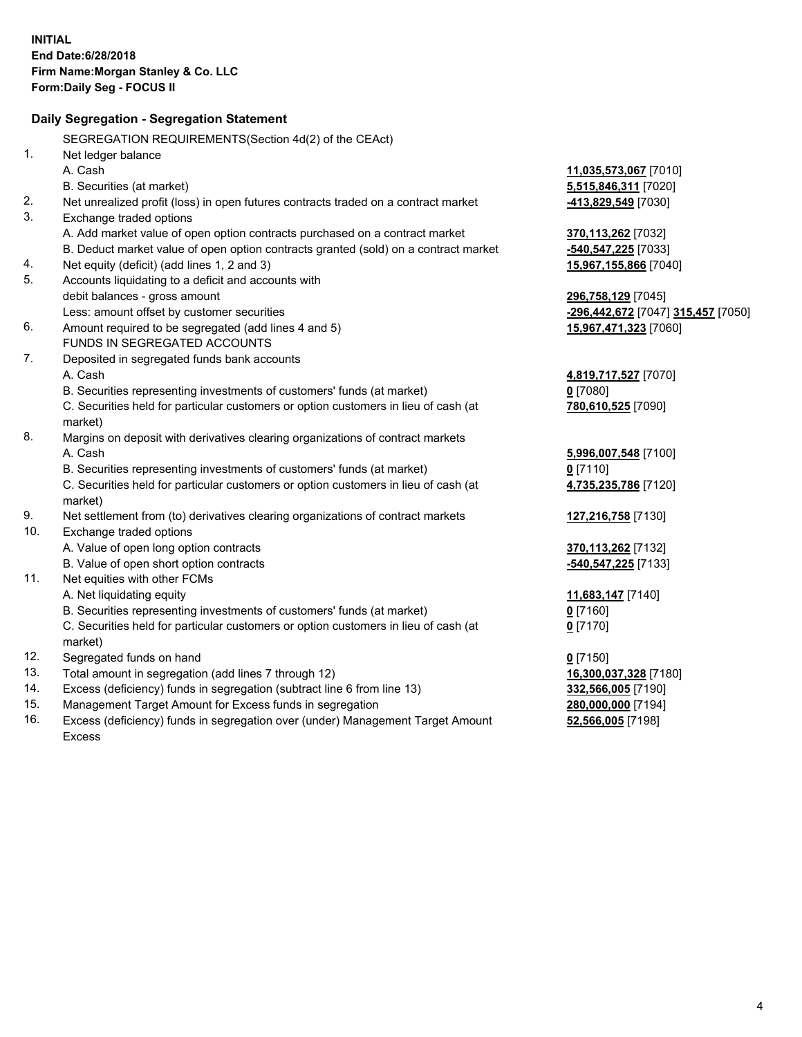|     | Daily Segregation - Segregation Statement                                           |                                    |
|-----|-------------------------------------------------------------------------------------|------------------------------------|
|     | SEGREGATION REQUIREMENTS(Section 4d(2) of the CEAct)                                |                                    |
| 1.  | Net ledger balance                                                                  |                                    |
|     | A. Cash                                                                             | 11,035,573,067 [7010]              |
|     | B. Securities (at market)                                                           | 5,515,846,311 [7020]               |
| 2.  | Net unrealized profit (loss) in open futures contracts traded on a contract market  | 413,829,549 [7030]                 |
| 3.  | Exchange traded options                                                             |                                    |
|     | A. Add market value of open option contracts purchased on a contract market         | 370,113,262 [7032]                 |
|     | B. Deduct market value of open option contracts granted (sold) on a contract market | $-540,547,225$ [7033]              |
| 4.  | Net equity (deficit) (add lines 1, 2 and 3)                                         | 15,967,155,866 [7040]              |
| 5.  | Accounts liquidating to a deficit and accounts with                                 |                                    |
|     | debit balances - gross amount                                                       | 296,758,129 [7045]                 |
|     | Less: amount offset by customer securities                                          | -296,442,672 [7047] 315,457 [7050] |
| 6.  | Amount required to be segregated (add lines 4 and 5)                                | 15,967,471,323 [7060]              |
|     | FUNDS IN SEGREGATED ACCOUNTS                                                        |                                    |
| 7.  | Deposited in segregated funds bank accounts                                         |                                    |
|     | A. Cash                                                                             | 4,819,717,527 [7070]               |
|     | B. Securities representing investments of customers' funds (at market)              | $0$ [7080]                         |
|     | C. Securities held for particular customers or option customers in lieu of cash (at | 780,610,525 [7090]                 |
|     | market)                                                                             |                                    |
| 8.  | Margins on deposit with derivatives clearing organizations of contract markets      |                                    |
|     | A. Cash                                                                             | 5,996,007,548 [7100]               |
|     | B. Securities representing investments of customers' funds (at market)              | $0$ [7110]                         |
|     | C. Securities held for particular customers or option customers in lieu of cash (at | 4,735,235,786 [7120]               |
|     | market)                                                                             |                                    |
| 9.  | Net settlement from (to) derivatives clearing organizations of contract markets     | 127,216,758 [7130]                 |
| 10. | Exchange traded options                                                             |                                    |
|     | A. Value of open long option contracts                                              | 370,113,262 [7132]                 |
|     | B. Value of open short option contracts                                             | -540, 547, 225 [7133]              |
| 11. | Net equities with other FCMs                                                        |                                    |
|     | A. Net liquidating equity                                                           | 11,683,147 [7140]                  |
|     | B. Securities representing investments of customers' funds (at market)              | $0$ [7160]                         |
|     | C. Securities held for particular customers or option customers in lieu of cash (at | $0$ [7170]                         |
|     | market)                                                                             |                                    |
| 12. | Segregated funds on hand                                                            | <u>0</u> [7150]                    |
| 13. | Total amount in segregation (add lines 7 through 12)                                | 16,300,037,328 [7180]              |
| 14. | Excess (deficiency) funds in segregation (subtract line 6 from line 13)             | 332,566,005 [7190]                 |
| 15. | Management Target Amount for Excess funds in segregation                            | 280,000,000 [7194]                 |
| 16. | Excess (deficiency) funds in segregation over (under) Management Target Amount      | 52,566,005 [7198]                  |
|     | <b>Excess</b>                                                                       |                                    |